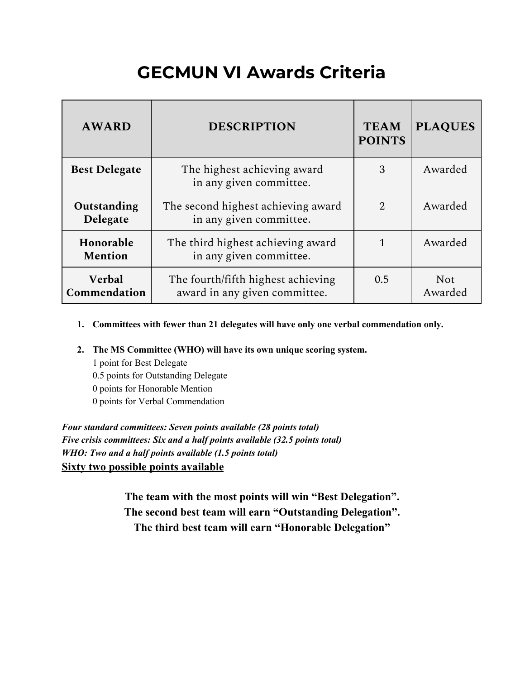# **GECMUN VI Awards Criteria**

| <b>AWARD</b>            | <b>DESCRIPTION</b>                                                  | <b>TEAM</b><br><b>POINTS</b> | <b>PLAQUES</b>        |
|-------------------------|---------------------------------------------------------------------|------------------------------|-----------------------|
| <b>Best Delegate</b>    | The highest achieving award<br>in any given committee.              | 3                            | Awarded               |
| Outstanding<br>Delegate | The second highest achieving award<br>in any given committee.       | $\mathcal{D}_{\mathcal{L}}$  | Awarded               |
| Honorable<br>Mention    | The third highest achieving award<br>in any given committee.        |                              | Awarded               |
| Verbal<br>Commendation  | The fourth/fifth highest achieving<br>award in any given committee. | 0.5                          | <b>Not</b><br>Awarded |

- **1. Committees with fewer than 21 delegates will have only one verbal commendation only.**
- **2. The MS Committee (WHO) will have its own unique scoring system.**

 point for Best Delegate 0.5 points for Outstanding Delegate points for Honorable Mention points for Verbal Commendation

*Four standard committees: Seven points available (28 points total) Five crisis committees: Six and a half points available (32.5 points total) WHO: Two and a half points available (1.5 points total)* **Sixty two possible points available**

> **The team with the most points will win "Best Delegation". The second best team will earn "Outstanding Delegation". The third best team will earn "Honorable Delegation"**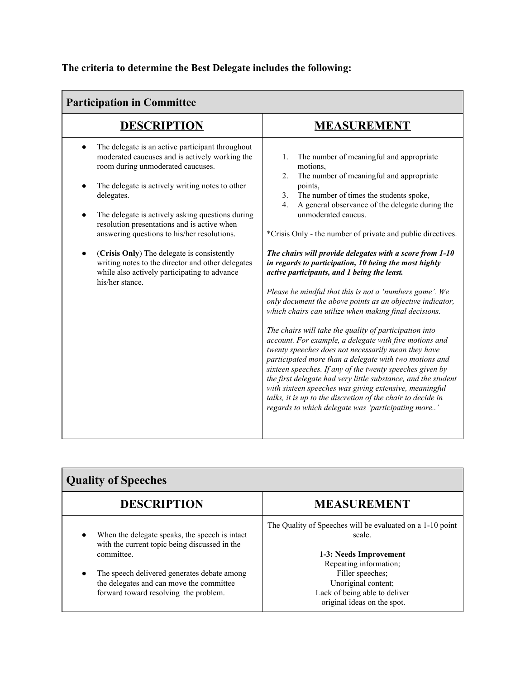# **The criteria to determine the Best Delegate includes the following:**

| <b>Participation in Committee</b>                                                                                                                                                                                                                                                                                                                                                                                                                                                                                                                          |                                                                                                                                                                                                                                                                                                                                                                                                                                                                                                                                                                                                                                                                                                                                                                                                                                                                                                                                                                                                                                                                                                                                                                                                                               |  |
|------------------------------------------------------------------------------------------------------------------------------------------------------------------------------------------------------------------------------------------------------------------------------------------------------------------------------------------------------------------------------------------------------------------------------------------------------------------------------------------------------------------------------------------------------------|-------------------------------------------------------------------------------------------------------------------------------------------------------------------------------------------------------------------------------------------------------------------------------------------------------------------------------------------------------------------------------------------------------------------------------------------------------------------------------------------------------------------------------------------------------------------------------------------------------------------------------------------------------------------------------------------------------------------------------------------------------------------------------------------------------------------------------------------------------------------------------------------------------------------------------------------------------------------------------------------------------------------------------------------------------------------------------------------------------------------------------------------------------------------------------------------------------------------------------|--|
| <b>DESCRIPTION</b>                                                                                                                                                                                                                                                                                                                                                                                                                                                                                                                                         | <b>MEASUREMENT</b>                                                                                                                                                                                                                                                                                                                                                                                                                                                                                                                                                                                                                                                                                                                                                                                                                                                                                                                                                                                                                                                                                                                                                                                                            |  |
| The delegate is an active participant throughout<br>$\bullet$<br>moderated caucuses and is actively working the<br>room during unmoderated caucuses.<br>The delegate is actively writing notes to other<br>delegates.<br>The delegate is actively asking questions during<br>$\bullet$<br>resolution presentations and is active when<br>answering questions to his/her resolutions.<br>(Crisis Only) The delegate is consistently<br>writing notes to the director and other delegates<br>while also actively participating to advance<br>his/her stance. | The number of meaningful and appropriate<br>1.<br>motions,<br>The number of meaningful and appropriate<br>2.<br>points,<br>The number of times the students spoke,<br>3.<br>A general observance of the delegate during the<br>4.<br>unmoderated caucus.<br>*Crisis Only - the number of private and public directives.<br>The chairs will provide delegates with a score from 1-10<br>in regards to participation, 10 being the most highly<br>active participants, and 1 being the least.<br>Please be mindful that this is not a 'numbers game'. We<br>only document the above points as an objective indicator,<br>which chairs can utilize when making final decisions.<br>The chairs will take the quality of participation into<br>account. For example, a delegate with five motions and<br>twenty speeches does not necessarily mean they have<br>participated more than a delegate with two motions and<br>sixteen speeches. If any of the twenty speeches given by<br>the first delegate had very little substance, and the student<br>with sixteen speeches was giving extensive, meaningful<br>talks, it is up to the discretion of the chair to decide in<br>regards to which delegate was 'participating more' |  |

| <b>Quality of Speeches</b>                                                                                                                                                                                                                        |                                                                                                                                                                                                                                    |  |
|---------------------------------------------------------------------------------------------------------------------------------------------------------------------------------------------------------------------------------------------------|------------------------------------------------------------------------------------------------------------------------------------------------------------------------------------------------------------------------------------|--|
| <b>DESCRIPTION</b>                                                                                                                                                                                                                                | MEASUREMENT                                                                                                                                                                                                                        |  |
| When the delegate speaks, the speech is intact<br>with the current topic being discussed in the<br>committee.<br>The speech delivered generates debate among<br>the delegates and can move the committee<br>forward toward resolving the problem. | The Quality of Speeches will be evaluated on a 1-10 point<br>scale.<br>1-3: Needs Improvement<br>Repeating information;<br>Filler speeches;<br>Unoriginal content;<br>Lack of being able to deliver<br>original ideas on the spot. |  |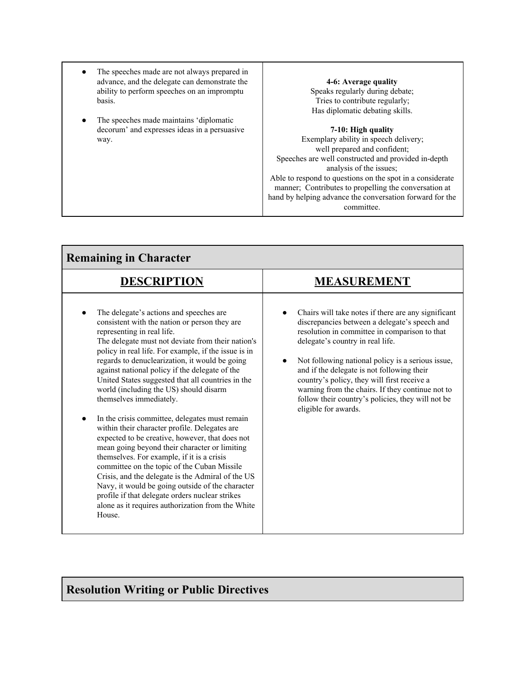- The speeches made are not always prepared in advance, and the delegate can demonstrate the ability to perform speeches on an impromptu basis.
- The speeches made maintains 'diplomatic decorum' and expresses ideas in a persuasive way.

# **4-6: Average quality**

Speaks regularly during debate; Tries to contribute regularly; Has diplomatic debating skills.

### **7-10: High quality**

Exemplary ability in speech delivery; well prepared and confident; Speeches are well constructed and provided in-depth analysis of the issues; Able to respond to questions on the spot in a considerate manner; Contributes to propelling the conversation at hand by helping advance the conversation forward for the committee.

| <b>Remaining in Character</b>                                                                                                                                                                                                                                                                                                                                                                                                                                                                                                                                                                                                                                                                                                                                                                                                                                                                                                                                                                    |                                                                                                                                                                                                                                                                                                                                                                                                                                                                              |  |
|--------------------------------------------------------------------------------------------------------------------------------------------------------------------------------------------------------------------------------------------------------------------------------------------------------------------------------------------------------------------------------------------------------------------------------------------------------------------------------------------------------------------------------------------------------------------------------------------------------------------------------------------------------------------------------------------------------------------------------------------------------------------------------------------------------------------------------------------------------------------------------------------------------------------------------------------------------------------------------------------------|------------------------------------------------------------------------------------------------------------------------------------------------------------------------------------------------------------------------------------------------------------------------------------------------------------------------------------------------------------------------------------------------------------------------------------------------------------------------------|--|
| <b>DESCRIPTION</b>                                                                                                                                                                                                                                                                                                                                                                                                                                                                                                                                                                                                                                                                                                                                                                                                                                                                                                                                                                               | <b>MEASUREMENT</b>                                                                                                                                                                                                                                                                                                                                                                                                                                                           |  |
| The delegate's actions and speeches are<br>consistent with the nation or person they are<br>representing in real life.<br>The delegate must not deviate from their nation's<br>policy in real life. For example, if the issue is in<br>regards to denuclearization, it would be going<br>against national policy if the delegate of the<br>United States suggested that all countries in the<br>world (including the US) should disarm<br>themselves immediately.<br>In the crisis committee, delegates must remain<br>within their character profile. Delegates are<br>expected to be creative, however, that does not<br>mean going beyond their character or limiting<br>themselves. For example, if it is a crisis<br>committee on the topic of the Cuban Missile<br>Crisis, and the delegate is the Admiral of the US<br>Navy, it would be going outside of the character<br>profile if that delegate orders nuclear strikes<br>alone as it requires authorization from the White<br>House. | Chairs will take notes if there are any significant<br>discrepancies between a delegate's speech and<br>resolution in committee in comparison to that<br>delegate's country in real life.<br>Not following national policy is a serious issue,<br>and if the delegate is not following their<br>country's policy, they will first receive a<br>warning from the chairs. If they continue not to<br>follow their country's policies, they will not be<br>eligible for awards. |  |

# **Resolution Writing or Public Directives**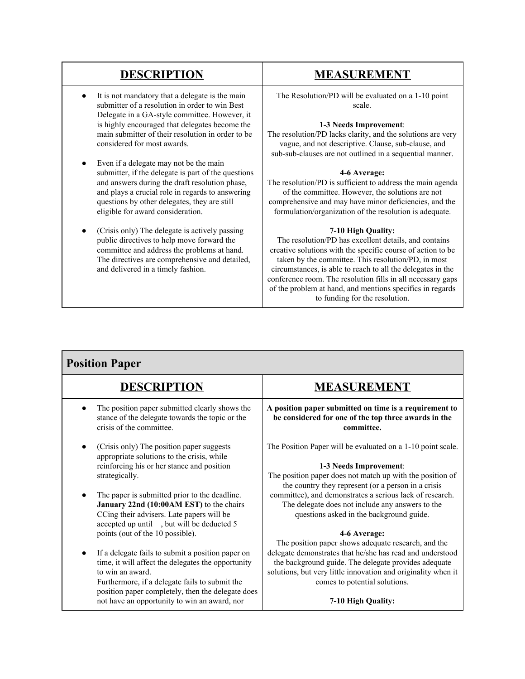- It is not mandatory that a delegate is the main submitter of a resolution in order to win Best Delegate in a GA-style committee. However, it is highly encouraged that delegates become the main submitter of their resolution in order to be considered for most awards.
- Even if a delegate may not be the main submitter, if the delegate is part of the questions and answers during the draft resolution phase, and plays a crucial role in regards to answering questions by other delegates, they are still eligible for award consideration.
- (Crisis only) The delegate is actively passing public directives to help move forward the committee and address the problems at hand. The directives are comprehensive and detailed, and delivered in a timely fashion.

# **DESCRIPTION MEASUREMENT**

The Resolution/PD will be evaluated on a 1-10 point scale.

### **1-3 Needs Improvement**:

The resolution/PD lacks clarity, and the solutions are very vague, and not descriptive. Clause, sub-clause, and sub-sub-clauses are not outlined in a sequential manner.

### **4-6 Average:**

The resolution/PD is sufficient to address the main agenda of the committee. However, the solutions are not comprehensive and may have minor deficiencies, and the formulation/organization of the resolution is adequate.

## **7-10 High Quality:**

The resolution/PD has excellent details, and contains creative solutions with the specific course of action to be taken by the committee. This resolution/PD, in most circumstances, is able to reach to all the delegates in the conference room. The resolution fills in all necessary gaps of the problem at hand, and mentions specifics in regards to funding for the resolution.

| <b>Position Paper</b>                                                                                                                                                                                                             |                                                                                                                                                                                                                     |  |
|-----------------------------------------------------------------------------------------------------------------------------------------------------------------------------------------------------------------------------------|---------------------------------------------------------------------------------------------------------------------------------------------------------------------------------------------------------------------|--|
| <b>DESCRIPTION</b>                                                                                                                                                                                                                | <b>MEASUREMENT</b>                                                                                                                                                                                                  |  |
| The position paper submitted clearly shows the<br>stance of the delegate towards the topic or the<br>crisis of the committee.                                                                                                     | A position paper submitted on time is a requirement to<br>be considered for one of the top three awards in the<br>committee.                                                                                        |  |
| (Crisis only) The position paper suggests<br>appropriate solutions to the crisis, while                                                                                                                                           | The Position Paper will be evaluated on a 1-10 point scale.                                                                                                                                                         |  |
| reinforcing his or her stance and position                                                                                                                                                                                        | 1-3 Needs Improvement:                                                                                                                                                                                              |  |
| strategically.                                                                                                                                                                                                                    | The position paper does not match up with the position of<br>the country they represent (or a person in a crisis                                                                                                    |  |
| The paper is submitted prior to the deadline.                                                                                                                                                                                     | committee), and demonstrates a serious lack of research.                                                                                                                                                            |  |
| January 22nd (10:00AM EST) to the chairs<br>CCing their advisers. Late papers will be<br>accepted up until , but will be deducted 5                                                                                               | The delegate does not include any answers to the<br>questions asked in the background guide.                                                                                                                        |  |
| points (out of the 10 possible).                                                                                                                                                                                                  | 4-6 Average:                                                                                                                                                                                                        |  |
|                                                                                                                                                                                                                                   | The position paper shows adequate research, and the                                                                                                                                                                 |  |
| If a delegate fails to submit a position paper on<br>time, it will affect the delegates the opportunity<br>to win an award<br>Furthermore, if a delegate fails to submit the<br>position paper completely, then the delegate does | delegate demonstrates that he/she has read and understood<br>the background guide. The delegate provides adequate<br>solutions, but very little innovation and originality when it<br>comes to potential solutions. |  |
| not have an opportunity to win an award, nor                                                                                                                                                                                      | 7-10 High Quality:                                                                                                                                                                                                  |  |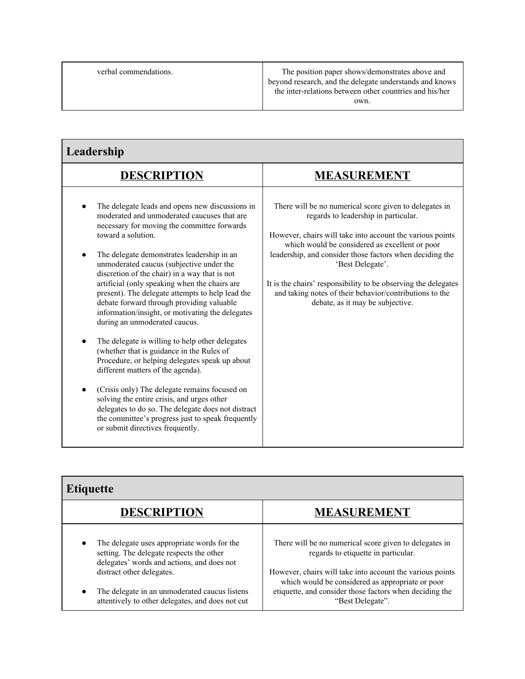verbal commendations. The position paper shows/demonstrates above and beyond research, and the delegate understands and knows the inter-relations between other countries and his/her own.

| Leadership                                                                                                                                                                                                                                                                                                                                                                                                                                                                                                                                                                                                                                                                                                                                                                                                                                                                                                                                                                                 |                                                                                                                                                                                                                                                                                                                                                                                                                                                                |  |
|--------------------------------------------------------------------------------------------------------------------------------------------------------------------------------------------------------------------------------------------------------------------------------------------------------------------------------------------------------------------------------------------------------------------------------------------------------------------------------------------------------------------------------------------------------------------------------------------------------------------------------------------------------------------------------------------------------------------------------------------------------------------------------------------------------------------------------------------------------------------------------------------------------------------------------------------------------------------------------------------|----------------------------------------------------------------------------------------------------------------------------------------------------------------------------------------------------------------------------------------------------------------------------------------------------------------------------------------------------------------------------------------------------------------------------------------------------------------|--|
| <b>DESCRIPTION</b>                                                                                                                                                                                                                                                                                                                                                                                                                                                                                                                                                                                                                                                                                                                                                                                                                                                                                                                                                                         | <b>MEASUREMENT</b>                                                                                                                                                                                                                                                                                                                                                                                                                                             |  |
| The delegate leads and opens new discussions in<br>moderated and unmoderated caucuses that are<br>necessary for moving the committee forwards<br>toward a solution.<br>The delegate demonstrates leadership in an<br>unmoderated caucus (subjective under the<br>discretion of the chair) in a way that is not<br>artificial (only speaking when the chairs are<br>present). The delegate attempts to help lead the<br>debate forward through providing valuable<br>information/insight, or motivating the delegates<br>during an unmoderated caucus.<br>The delegate is willing to help other delegates<br>(whether that is guidance in the Rules of<br>Procedure, or helping delegates speak up about<br>different matters of the agenda).<br>(Crisis only) The delegate remains focused on<br>solving the entire crisis, and urges other<br>delegates to do so. The delegate does not distract<br>the committee's progress just to speak frequently<br>or submit directives frequently. | There will be no numerical score given to delegates in<br>regards to leadership in particular.<br>However, chairs will take into account the various points<br>which would be considered as excellent or poor<br>leadership, and consider those factors when deciding the<br>'Best Delegate'.<br>It is the chairs' responsibility to be observing the delegates<br>and taking notes of their behavior/contributions to the<br>debate, as it may be subjective. |  |

| <b>Etiquette</b>                                                                                                                                   |                                                                                                                                                                                              |
|----------------------------------------------------------------------------------------------------------------------------------------------------|----------------------------------------------------------------------------------------------------------------------------------------------------------------------------------------------|
| <b>DESCRIPTION</b>                                                                                                                                 | <b>MEASUREMENT</b>                                                                                                                                                                           |
| The delegate uses appropriate words for the<br>$\bullet$<br>setting. The delegate respects the other<br>delegates' words and actions, and does not | There will be no numerical score given to delegates in<br>regards to etiquette in particular.                                                                                                |
| distract other delegates.<br>The delegate in an unmoderated caucus listens<br>$\bullet$<br>attentively to other delegates, and does not cut        | However, chairs will take into account the various points<br>which would be considered as appropriate or poor<br>etiquette, and consider those factors when deciding the<br>"Best Delegate". |